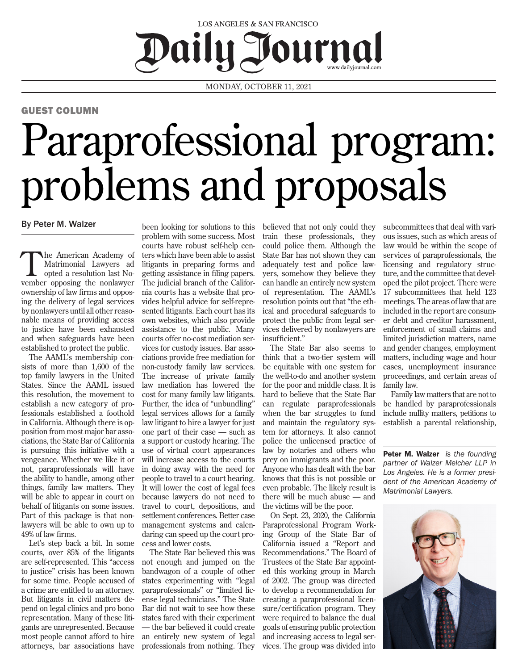## LOS ANGELES & SAN FRANCISCO Daily Journal

MONDAY, OCTOBER 11, 2021

## GUEST COLUMN

## Paraprofessional program: problems and proposals

## By Peter M. Walzer

The American Academy of<br>
Matrimonial Lawyers ad<br>
opted a resolution last No-Matrimonial Lawyers ad vember opposing the nonlawyer ownership of law firms and opposing the delivery of legal services by nonlawyers until all other reasonable means of providing access to justice have been exhausted and when safeguards have been established to protect the public.

The AAML's membership consists of more than 1,600 of the top family lawyers in the United States. Since the AAML issued this resolution, the movement to establish a new category of professionals established a foothold in California. Although there is opposition from most major bar associations, the State Bar of California is pursuing this initiative with a vengeance. Whether we like it or not, paraprofessionals will have the ability to handle, among other things, family law matters. They will be able to appear in court on behalf of litigants on some issues. Part of this package is that nonlawyers will be able to own up to 49% of law firms.

Let's step back a bit. In some courts, over 85% of the litigants are self-represented. This "access to justice" crisis has been known for some time. People accused of a crime are entitled to an attorney. But litigants in civil matters depend on legal clinics and pro bono representation. Many of these litigants are unrepresented. Because most people cannot afford to hire attorneys, bar associations have

been looking for solutions to this problem with some success. Most courts have robust self-help centers which have been able to assist litigants in preparing forms and getting assistance in filing papers. The judicial branch of the California courts has a website that provides helpful advice for self-represented litigants. Each court has its own websites, which also provide assistance to the public. Many courts offer no-cost mediation services for custody issues. Bar associations provide free mediation for non-custody family law services. The increase of private family law mediation has lowered the cost for many family law litigants. Further, the idea of "unbundling" legal services allows for a family law litigant to hire a lawyer for just one part of their case — such as a support or custody hearing. The use of virtual court appearances will increase access to the courts in doing away with the need for people to travel to a court hearing. It will lower the cost of legal fees because lawyers do not need to travel to court, depositions, and settlement conferences. Better case management systems and calendaring can speed up the court process and lower costs.

The State Bar believed this was not enough and jumped on the bandwagon of a couple of other states experimenting with "legal paraprofessionals" or "limited license legal technicians." The State Bar did not wait to see how these states fared with their experiment — the bar believed it could create an entirely new system of legal professionals from nothing. They believed that not only could they train these professionals, they could police them. Although the State Bar has not shown they can adequately test and police lawyers, somehow they believe they can handle an entirely new system of representation. The AAML's resolution points out that "the ethical and procedural safeguards to protect the public from legal services delivered by nonlawyers are insufficient."

The State Bar also seems to think that a two-tier system will be equitable with one system for the well-to-do and another system for the poor and middle class. It is hard to believe that the State Bar can regulate paraprofessionals when the bar struggles to fund and maintain the regulatory system for attorneys. It also cannot police the unlicensed practice of law by notaries and others who prey on immigrants and the poor. Anyone who has dealt with the bar knows that this is not possible or even probable. The likely result is there will be much abuse — and the victims will be the poor.

On Sept. 23, 2020, the California Paraprofessional Program Working Group of the State Bar of California issued a "Report and Recommendations." The Board of Trustees of the State Bar appointed this working group in March of 2002. The group was directed to develop a recommendation for creating a paraprofessional licensure/certification program. They were required to balance the dual goals of ensuring public protection and increasing access to legal services. The group was divided into

subcommittees that deal with various issues, such as which areas of law would be within the scope of services of paraprofessionals, the licensing and regulatory structure, and the committee that developed the pilot project. There were 17 subcommittees that held 123 meetings. The areas of law that are included in the report are consumer debt and creditor harassment, enforcement of small claims and limited jurisdiction matters, name and gender changes, employment matters, including wage and hour cases, unemployment insurance proceedings, and certain areas of family law.

Family law matters that are not to be handled by paraprofessionals include nullity matters, petitions to establish a parental relationship,

Peter M. Walzer *is the founding partner of Walzer Melcher LLP in Los Angeles. He is a former president of the American Academy of Matrimonial Lawyers.*